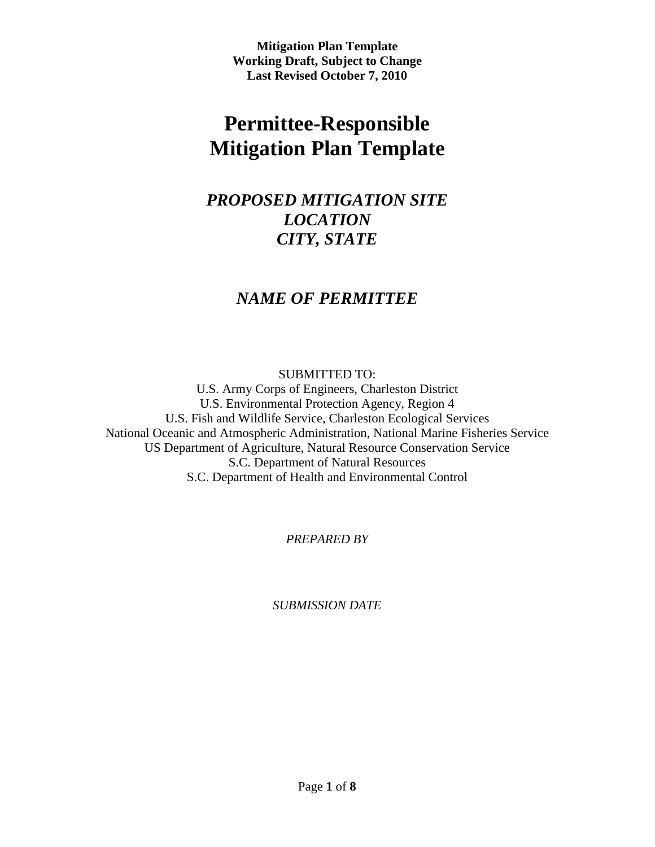# **Permittee-Responsible Mitigation Plan Template**

## *PROPOSED MITIGATION SITE LOCATION CITY, STATE*

### *NAME OF PERMITTEE*

SUBMITTED TO: U.S. Army Corps of Engineers, Charleston District U.S. Environmental Protection Agency, Region 4 U.S. Fish and Wildlife Service, Charleston Ecological Services National Oceanic and Atmospheric Administration, National Marine Fisheries Service US Department of Agriculture, Natural Resource Conservation Service S.C. Department of Natural Resources S.C. Department of Health and Environmental Control

*PREPARED BY*

*SUBMISSION DATE*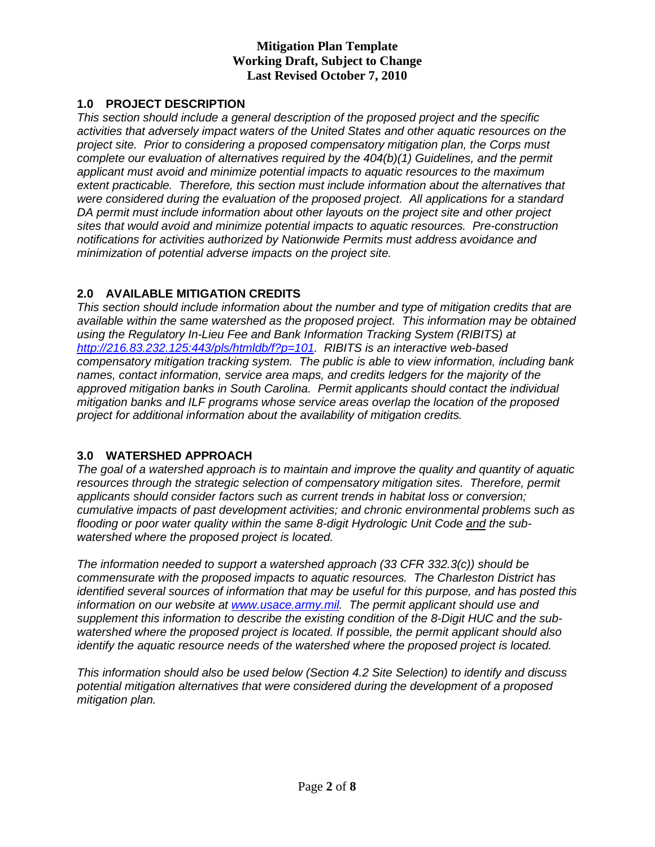#### **1.0 PROJECT DESCRIPTION**

*This section should include a general description of the proposed project and the specific activities that adversely impact waters of the United States and other aquatic resources on the project site. Prior to considering a proposed compensatory mitigation plan, the Corps must complete our evaluation of alternatives required by the 404(b)(1) Guidelines, and the permit applicant must avoid and minimize potential impacts to aquatic resources to the maximum extent practicable. Therefore, this section must include information about the alternatives that were considered during the evaluation of the proposed project. All applications for a standard DA permit must include information about other layouts on the project site and other project sites that would avoid and minimize potential impacts to aquatic resources. Pre-construction notifications for activities authorized by Nationwide Permits must address avoidance and minimization of potential adverse impacts on the project site.* 

#### **2.0 AVAILABLE MITIGATION CREDITS**

*This section should include information about the number and type of mitigation credits that are available within the same watershed as the proposed project. This information may be obtained using the Regulatory In-Lieu Fee and Bank Information Tracking System (RIBITS) at [http://216.83.232.125:443/pls/htmldb/f?p=101.](http://216.83.232.125:443/pls/htmldb/f?p=101%20) RIBITS is an interactive web-based compensatory mitigation tracking system. The public is able to view information, including bank names, contact information, service area maps, and credits ledgers for the majority of the approved mitigation banks in South Carolina. Permit applicants should contact the individual mitigation banks and ILF programs whose service areas overlap the location of the proposed project for additional information about the availability of mitigation credits.* 

#### **3.0 WATERSHED APPROACH**

*The goal of a watershed approach is to maintain and improve the quality and quantity of aquatic resources through the strategic selection of compensatory mitigation sites. Therefore, permit applicants should consider factors such as current trends in habitat loss or conversion; cumulative impacts of past development activities; and chronic environmental problems such as flooding or poor water quality within the same 8-digit Hydrologic Unit Code and the subwatershed where the proposed project is located.* 

*The information needed to support a watershed approach (33 CFR 332.3(c)) should be commensurate with the proposed impacts to aquatic resources. The Charleston District has identified several sources of information that may be useful for this purpose, and has posted this information on our website at [www.usace.army.mil.](http://www.usace.army.mil/) The permit applicant should use and supplement this information to describe the existing condition of the 8-Digit HUC and the subwatershed where the proposed project is located. If possible, the permit applicant should also identify the aquatic resource needs of the watershed where the proposed project is located.*

*This information should also be used below (Section 4.2 Site Selection) to identify and discuss potential mitigation alternatives that were considered during the development of a proposed mitigation plan.*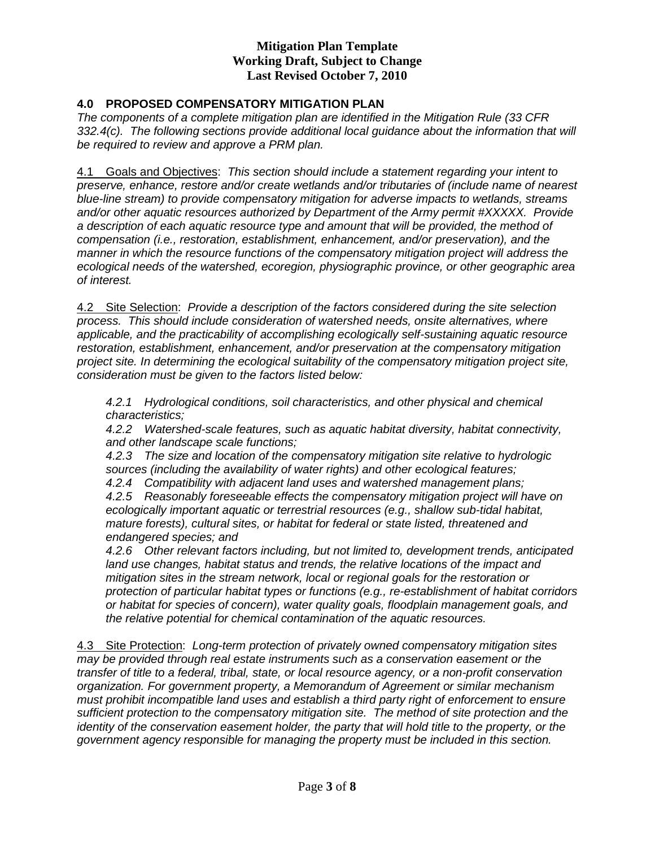#### **4.0 PROPOSED COMPENSATORY MITIGATION PLAN**

*The components of a complete mitigation plan are identified in the Mitigation Rule (33 CFR 332.4(c). The following sections provide additional local guidance about the information that will be required to review and approve a PRM plan.* 

4.1 Goals and Objectives: *This section should include a statement regarding your intent to preserve, enhance, restore and/or create wetlands and/or tributaries of (include name of nearest blue-line stream) to provide compensatory mitigation for adverse impacts to wetlands, streams and/or other aquatic resources authorized by Department of the Army permit #XXXXX. Provide a description of each aquatic resource type and amount that will be provided, the method of compensation (i.e., restoration, establishment, enhancement, and/or preservation), and the manner in which the resource functions of the compensatory mitigation project will address the ecological needs of the watershed, ecoregion, physiographic province, or other geographic area of interest.*

4.2 Site Selection: *Provide a description of the factors considered during the site selection process. This should include consideration of watershed needs, onsite alternatives, where applicable, and the practicability of accomplishing ecologically self-sustaining aquatic resource restoration, establishment, enhancement, and/or preservation at the compensatory mitigation project site. In determining the ecological suitability of the compensatory mitigation project site, consideration must be given to the factors listed below:*

*4.2.1 Hydrological conditions, soil characteristics, and other physical and chemical characteristics;*

*4.2.2 Watershed-scale features, such as aquatic habitat diversity, habitat connectivity, and other landscape scale functions;*

*4.2.3 The size and location of the compensatory mitigation site relative to hydrologic sources (including the availability of water rights) and other ecological features;*

*4.2.4 Compatibility with adjacent land uses and watershed management plans; 4.2.5 Reasonably foreseeable effects the compensatory mitigation project will have on* 

*ecologically important aquatic or terrestrial resources (e.g., shallow sub-tidal habitat, mature forests), cultural sites, or habitat for federal or state listed, threatened and endangered species; and*

*4.2.6 Other relevant factors including, but not limited to, development trends, anticipated land use changes, habitat status and trends, the relative locations of the impact and mitigation sites in the stream network, local or regional goals for the restoration or protection of particular habitat types or functions (e.g., re-establishment of habitat corridors or habitat for species of concern), water quality goals, floodplain management goals, and the relative potential for chemical contamination of the aquatic resources.*

4.3 Site Protection: *Long-term protection of privately owned compensatory mitigation sites may be provided through real estate instruments such as a conservation easement or the transfer of title to a federal, tribal, state, or local resource agency, or a non-profit conservation organization. For government property, a Memorandum of Agreement or similar mechanism must prohibit incompatible land uses and establish a third party right of enforcement to ensure sufficient protection to the compensatory mitigation site. The method of site protection and the identity of the conservation easement holder, the party that will hold title to the property, or the government agency responsible for managing the property must be included in this section.*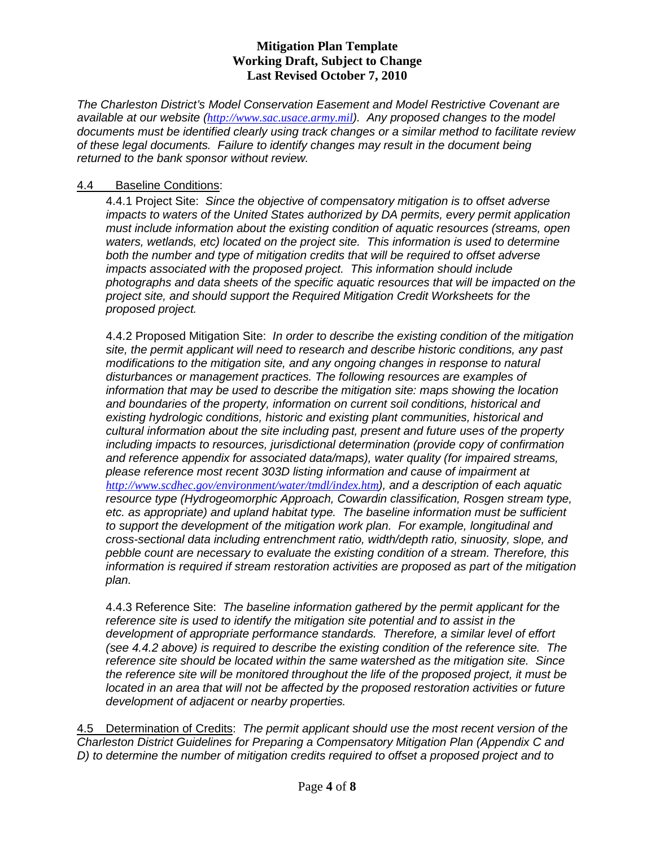*The Charleston District's Model Conservation Easement and Model Restrictive Covenant are available at our website ([http://www.sac.usace.army.mil](http://www.sac.usace.army.mil/)). Any proposed changes to the model documents must be identified clearly using track changes or a similar method to facilitate review of these legal documents. Failure to identify changes may result in the document being returned to the bank sponsor without review.* 

#### 4.4 Baseline Conditions :

4.4.1 Project Site: *Since the objective of compensatory mitigation is to offset adverse impacts to waters of the United States authorized by DA permits, every permit application must include information about the existing condition of aquatic resources (streams, open waters, wetlands, etc) located on the project site. This information is used to determine both the number and type of mitigation credits that will be required to offset adverse impacts associated with the proposed project. This information should include photographs and data sheets of the specific aquatic resources that will be impacted on the project site, and should support the Required Mitigation Credit Worksheets for the proposed project.* 

4.4.2 Proposed Mitigation Site: *In order to describe the existing condition of the mitigation site, the permit applicant will need to research and describe historic conditions, any past modifications to the mitigation site, and any ongoing changes in response to natural disturbances or management practices. The following resources are examples of information that may be used to describe the mitigation site: maps showing the location and boundaries of the property, information on current soil conditions, historical and existing hydrologic conditions, historic and existing plant communities, historical and cultural information about the site including past, present and future uses of the property including impacts to resources, jurisdictional determination (provide copy of confirmation and reference appendix for associated data/maps), water quality (for impaired streams, please reference most recent 303D listing information and cause of impairment at <http://www.scdhec.gov/environment/water/tmdl/index.htm>), and a description of each aquatic resource type (Hydrogeomorphic Approach, Cowardin classification, Rosgen stream type, etc. as appropriate) and upland habitat type. The baseline information must be sufficient to support the development of the mitigation work plan. For example, longitudinal and cross-sectional data including entrenchment ratio, width/depth ratio, sinuosity, slope, and pebble count are necessary to evaluate the existing condition of a stream. Therefore, this information is required if stream restoration activities are proposed as part of the mitigation plan.* 

4.4.3 Reference Site: *The baseline information gathered by the permit applicant for the reference site is used to identify the mitigation site potential and to assist in the development of appropriate performance standards. Therefore, a similar level of effort (see 4.4.2 above) is required to describe the existing condition of the reference site. The reference site should be located within the same watershed as the mitigation site. Since the reference site will be monitored throughout the life of the proposed project, it must be located in an area that will not be affected by the proposed restoration activities or future development of adjacent or nearby properties.* 

4.5 Determination of Credits: *The permit applicant should use the most recent version of the Charleston District Guidelines for Preparing a Compensatory Mitigation Plan (Appendix C and D) to determine the number of mitigation credits required to offset a proposed project and to*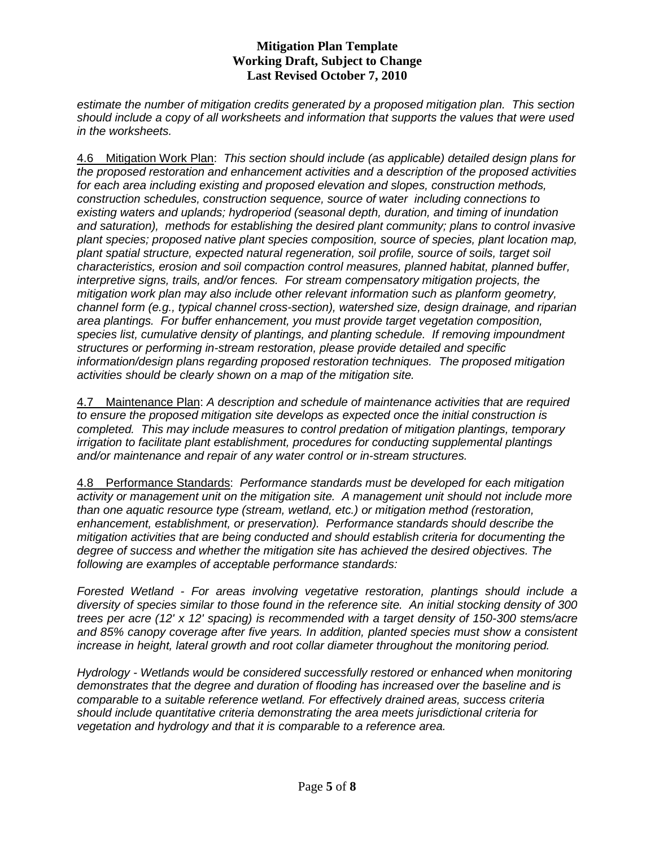*estimate the number of mitigation credits generated by a proposed mitigation plan. This section should include a copy of all worksheets and information that supports the values that were used in the worksheets.*

4.6 Mitigation Work Plan: *This section should include (as applicable) detailed design plans for the proposed restoration and enhancement activities and a description of the proposed activities for each area including existing and proposed elevation and slopes, construction methods, construction schedules, construction sequence, source of water including connections to existing waters and uplands; hydroperiod (seasonal depth, duration, and timing of inundation and saturation), methods for establishing the desired plant community; plans to control invasive plant species; proposed native plant species composition, source of species, plant location map, plant spatial structure, expected natural regeneration, soil profile, source of soils, target soil characteristics, erosion and soil compaction control measures, planned habitat, planned buffer, interpretive signs, trails, and/or fences. For stream compensatory mitigation projects, the mitigation work plan may also include other relevant information such as planform geometry, channel form (e.g., typical channel cross-section), watershed size, design drainage, and riparian area plantings. For buffer enhancement, you must provide target vegetation composition, species list, cumulative density of plantings, and planting schedule. If removing impoundment structures or performing in-stream restoration, please provide detailed and specific information/design plans regarding proposed restoration techniques. The proposed mitigation activities should be clearly shown on a map of the mitigation site.* 

4.7 Maintenance Plan: *A description and schedule of maintenance activities that are required to ensure the proposed mitigation site develops as expected once the initial construction is completed. This may include measures to control predation of mitigation plantings, temporary irrigation to facilitate plant establishment, procedures for conducting supplemental plantings and/or maintenance and repair of any water control or in-stream structures.*

4.8 Performance Standards: *Performance standards must be developed for each mitigation activity or management unit on the mitigation site. A management unit should not include more than one aquatic resource type (stream, wetland, etc.) or mitigation method (restoration, enhancement, establishment, or preservation). Performance standards should describe the mitigation activities that are being conducted and should establish criteria for documenting the degree of success and whether the mitigation site has achieved the desired objectives. The following are examples of acceptable performance standards:*

*Forested Wetland - For areas involving vegetative restoration, plantings should include a diversity of species similar to those found in the reference site. An initial stocking density of 300 trees per acre (12' x 12' spacing) is recommended with a target density of 150-300 stems/acre and 85% canopy coverage after five years. In addition, planted species must show a consistent increase in height, lateral growth and root collar diameter throughout the monitoring period.*

*Hydrology - Wetlands would be considered successfully restored or enhanced when monitoring demonstrates that the degree and duration of flooding has increased over the baseline and is comparable to a suitable reference wetland. For effectively drained areas, success criteria should include quantitative criteria demonstrating the area meets jurisdictional criteria for vegetation and hydrology and that it is comparable to a reference area.*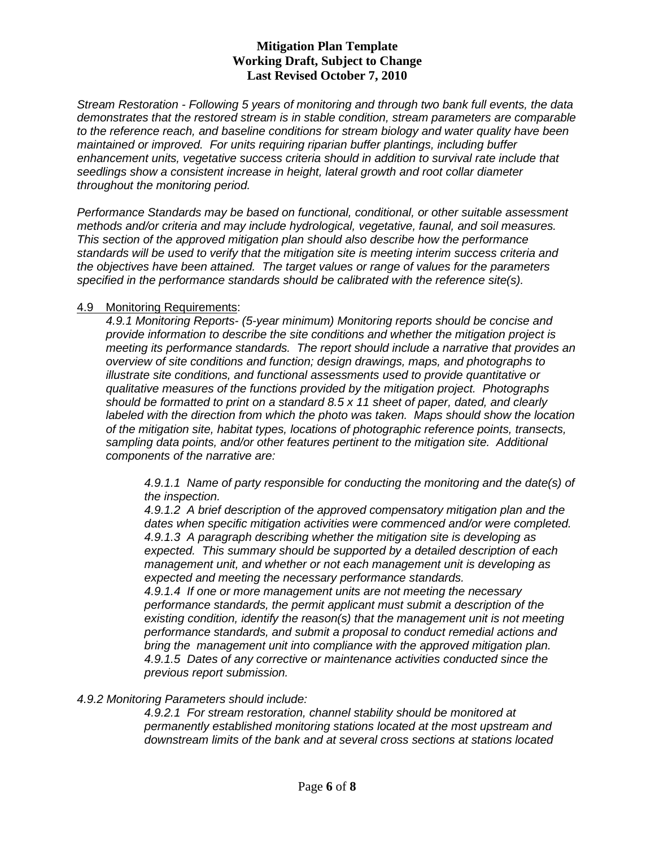*Stream Restoration - Following 5 years of monitoring and through two bank full events, the data demonstrates that the restored stream is in stable condition, stream parameters are comparable to the reference reach, and baseline conditions for stream biology and water quality have been maintained or improved. For units requiring riparian buffer plantings, including buffer enhancement units, vegetative success criteria should in addition to survival rate include that seedlings show a consistent increase in height, lateral growth and root collar diameter throughout the monitoring period.* 

*Performance Standards may be based on functional, conditional, or other suitable assessment methods and/or criteria and may include hydrological, vegetative, faunal, and soil measures. This section of the approved mitigation plan should also describe how the performance standards will be used to verify that the mitigation site is meeting interim success criteria and the objectives have been attained. The target values or range of values for the parameters specified in the performance standards should be calibrated with the reference site(s).*

#### 4.9 Monitoring Requirements :

*4.9.1 Monitoring Reports- (5-year minimum) Monitoring reports should be concise and provide information to describe the site conditions and whether the mitigation project is meeting its performance standards. The report should include a narrative that provides an overview of site conditions and function; design drawings, maps, and photographs to illustrate site conditions, and functional assessments used to provide quantitative or qualitative measures of the functions provided by the mitigation project. Photographs should be formatted to print on a standard 8.5 x 11 sheet of paper, dated, and clearly labeled with the direction from which the photo was taken. Maps should show the location of the mitigation site, habitat types, locations of photographic reference points, transects, sampling data points, and/or other features pertinent to the mitigation site. Additional components of the narrative are:*

*4.9.1.1 Name of party responsible for conducting the monitoring and the date(s) of the inspection.*

*4.9.1.2 A brief description of the approved compensatory mitigation plan and the dates when specific mitigation activities were commenced and/or were completed. 4.9.1.3 A paragraph describing whether the mitigation site is developing as expected. This summary should be supported by a detailed description of each management unit, and whether or not each management unit is developing as expected and meeting the necessary performance standards.* 

*4.9.1.4 If one or more management units are not meeting the necessary performance standards, the permit applicant must submit a description of the existing condition, identify the reason(s) that the management unit is not meeting performance standards, and submit a proposal to conduct remedial actions and bring the management unit into compliance with the approved mitigation plan. 4.9.1.5 Dates of any corrective or maintenance activities conducted since the previous report submission.*

#### *4.9.2 Monitoring Parameters should include:*

*4.9.2.1 For stream restoration, channel stability should be monitored at permanently established monitoring stations located at the most upstream and downstream limits of the bank and at several cross sections at stations located*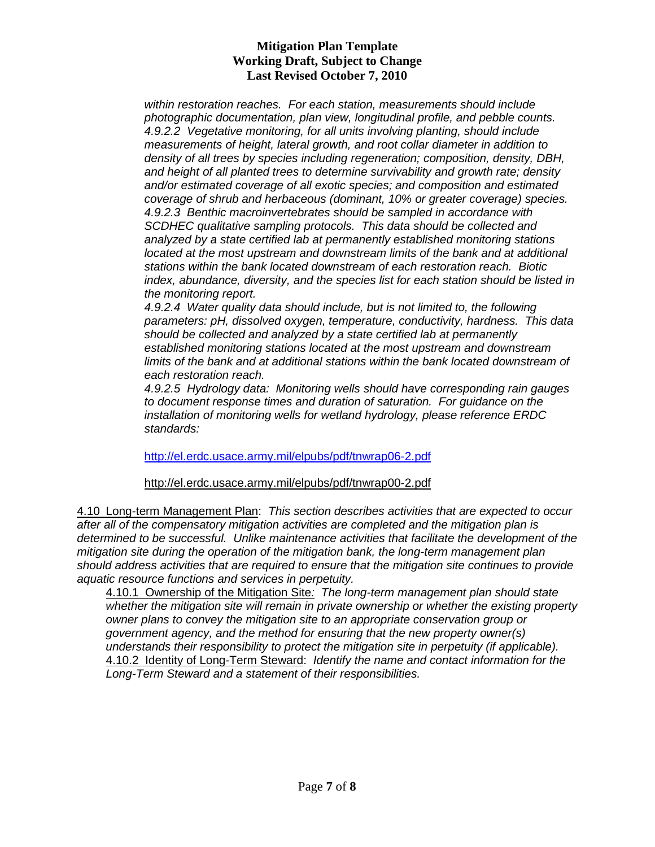*within restoration reaches. For each station, measurements should include photographic documentation, plan view, longitudinal profile, and pebble counts. 4.9.2.2 Vegetative monitoring, for all units involving planting, should include measurements of height, lateral growth, and root collar diameter in addition to density of all trees by species including regeneration; composition, density, DBH, and height of all planted trees to determine survivability and growth rate; density and/or estimated coverage of all exotic species; and composition and estimated coverage of shrub and herbaceous (dominant, 10% or greater coverage) species. 4.9.2.3 Benthic macroinvertebrates should be sampled in accordance with SCDHEC qualitative sampling protocols. This data should be collected and analyzed by a state certified lab at permanently established monitoring stations located at the most upstream and downstream limits of the bank and at additional stations within the bank located downstream of each restoration reach. Biotic index, abundance, diversity, and the species list for each station should be listed in the monitoring report.*

*4.9.2.4 Water quality data should include, but is not limited to, the following parameters: pH, dissolved oxygen, temperature, conductivity, hardness. This data should be collected and analyzed by a state certified lab at permanently established monitoring stations located at the most upstream and downstream limits of the bank and at additional stations within the bank located downstream of each restoration reach.*

*4.9.2.5 Hydrology data: Monitoring wells should have corresponding rain gauges to document response times and duration of saturation. For guidance on the installation of monitoring wells for wetland hydrology, please reference ERDC standards:*

<http://el.erdc.usace.army.mil/elpubs/pdf/tnwrap06-2.pdf>

http://el.erdc.usace.army.mil/elpubs/pdf/tnwrap00-2.pdf

4.10 Long-term Management Plan: *This section describes activities that are expected to occur after all of the compensatory mitigation activities are completed and the mitigation plan is determined to be successful. Unlike maintenance activities that facilitate the development of the mitigation site during the operation of the mitigation bank, the long-term management plan should address activities that are required to ensure that the mitigation site continues to provide aquatic resource functions and services in perpetuity.*

4.10.1 Ownership of the Mitigation Site*: The long-term management plan should state whether the mitigation site will remain in private ownership or whether the existing property owner plans to convey the mitigation site to an appropriate conservation group or government agency, and the method for ensuring that the new property owner(s) understands their responsibility to protect the mitigation site in perpetuity (if applicable).*  4.10.2 Identity of Long-Term Steward: *Identify the name and contact information for the Long-Term Steward and a statement of their responsibilities.*